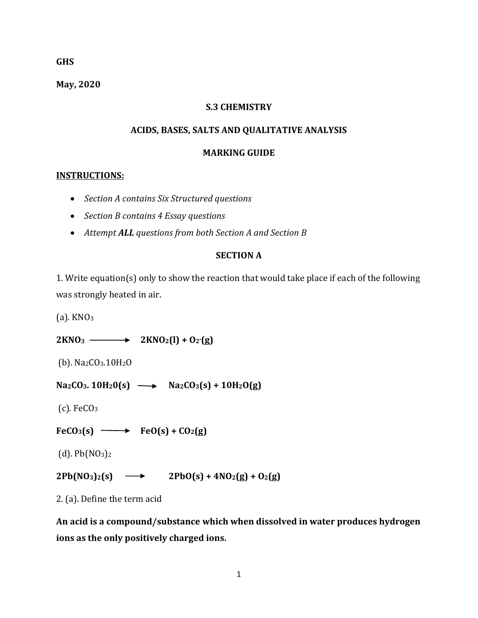#### **GHS**

**May, 2020**

## **S.3 CHEMISTRY**

## **ACIDS, BASES, SALTS AND QUALITATIVE ANALYSIS**

#### **MARKING GUIDE**

## **INSTRUCTIONS:**

- *Section A contains Six Structured questions*
- *Section B contains 4 Essay questions*
- *Attempt ALL questions from both Section A and Section B*

## **SECTION A**

1. Write equation(s) only to show the reaction that would take place if each of the following was strongly heated in air.

 $(a)$ . KNO<sub>3</sub>

 $2KNO_3 \longrightarrow 2KNO_2(l) + O_2(g)$ 

(b). Na2CO3.10H2O

 $NazCO_3$ . 10H<sub>2</sub>O(s)  $\longrightarrow$   $NazCO_3(s) + 10H_2O(g)$ 

 $(c)$ . FeCO<sub>3</sub>

 $FeCO<sub>3</sub>(s) \longrightarrow FeO(s) + CO<sub>2</sub>(g)$ 

 $(d)$ . Pb $(NO_3)$ <sub>2</sub>

# $2Pb(NO_3)_{2}(s) \longrightarrow 2PbO(s) + 4NO_2(g) + O_2(g)$

2. (a). Define the term acid

**An acid is a compound/substance which when dissolved in water produces hydrogen ions as the only positively charged ions.**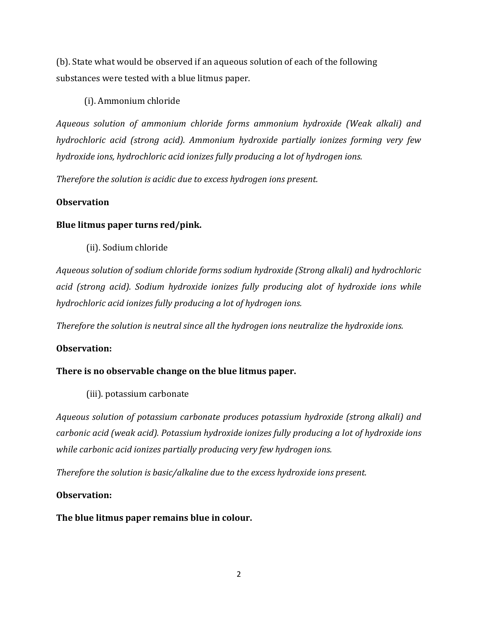(b). State what would be observed if an aqueous solution of each of the following substances were tested with a blue litmus paper.

(i). Ammonium chloride

*Aqueous solution of ammonium chloride forms ammonium hydroxide (Weak alkali) and hydrochloric acid (strong acid). Ammonium hydroxide partially ionizes forming very few hydroxide ions, hydrochloric acid ionizes fully producing a lot of hydrogen ions.*

*Therefore the solution is acidic due to excess hydrogen ions present.*

# **Observation**

# **Blue litmus paper turns red/pink.**

(ii). Sodium chloride

*Aqueous solution of sodium chloride forms sodium hydroxide (Strong alkali) and hydrochloric acid (strong acid). Sodium hydroxide ionizes fully producing alot of hydroxide ions while hydrochloric acid ionizes fully producing a lot of hydrogen ions.*

*Therefore the solution is neutral since all the hydrogen ions neutralize the hydroxide ions.*

# **Observation:**

# **There is no observable change on the blue litmus paper.**

(iii). potassium carbonate

*Aqueous solution of potassium carbonate produces potassium hydroxide (strong alkali) and carbonic acid (weak acid). Potassium hydroxide ionizes fully producing a lot of hydroxide ions while carbonic acid ionizes partially producing very few hydrogen ions.*

*Therefore the solution is basic/alkaline due to the excess hydroxide ions present.*

## **Observation:**

## **The blue litmus paper remains blue in colour.**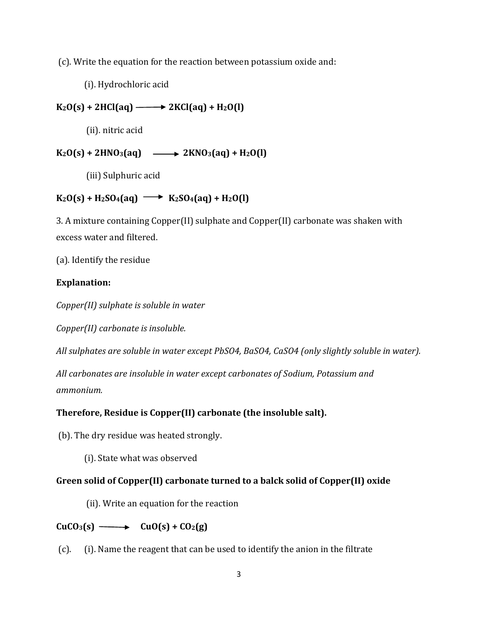(c). Write the equation for the reaction between potassium oxide and:

(i). Hydrochloric acid

 $K_2O(s) + 2HCl(aq) \longrightarrow 2KCl(aq) + H_2O(l)$ 

(ii). nitric acid

# $K_2O(s) + 2HNO_3(aq) \longrightarrow 2KNO_3(aq) + H_2O(l)$

(iii) Sulphuric acid

# $K_2O(s) + H_2SO_4(aq) \longrightarrow K_2SO_4(aq) + H_2O(l)$

3. A mixture containing Copper(II) sulphate and Copper(II) carbonate was shaken with excess water and filtered.

(a). Identify the residue

# **Explanation:**

*Copper(II) sulphate is soluble in water*

*Copper(II) carbonate is insoluble.*

*All sulphates are soluble in water except PbSO4, BaSO4, CaSO4 (only slightly soluble in water).*

*All carbonates are insoluble in water except carbonates of Sodium, Potassium and ammonium.*

# **Therefore, Residue is Copper(II) carbonate (the insoluble salt).**

(b). The dry residue was heated strongly.

(i). State what was observed

# **Green solid of Copper(II) carbonate turned to a balck solid of Copper(II) oxide**

(ii). Write an equation for the reaction

# $CuCO<sub>3</sub>(s) \longrightarrow CuO(s) + CO<sub>2</sub>(g)$

(c). (i). Name the reagent that can be used to identify the anion in the filtrate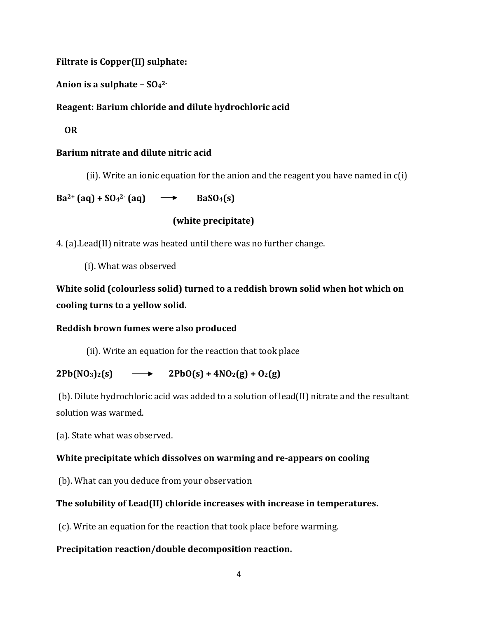**Filtrate is Copper(II) sulphate:**

**Anion is a sulphate – SO<sup>4</sup> 2-**

# **Reagent: Barium chloride and dilute hydrochloric acid**

 **OR**

# **Barium nitrate and dilute nitric acid**

(ii). Write an ionic equation for the anion and the reagent you have named in c(i)

 $Ba^{2+}$  (aq) +  $SO_4^{2-}$  (aq)  $\rightarrow$  **BaSO**<sub>4</sub>**(s)** 

# **(white precipitate)**

4. (a).Lead(II) nitrate was heated until there was no further change.

(i). What was observed

**White solid (colourless solid) turned to a reddish brown solid when hot which on cooling turns to a yellow solid.**

## **Reddish brown fumes were also produced**

(ii). Write an equation for the reaction that took place

# $2Pb(NO_3)_{2}(s) \longrightarrow 2PbO(s) + 4NO_2(g) + O_2(g)$

(b). Dilute hydrochloric acid was added to a solution of lead(II) nitrate and the resultant solution was warmed.

(a). State what was observed.

# **White precipitate which dissolves on warming and re-appears on cooling**

(b). What can you deduce from your observation

# **The solubility of Lead(II) chloride increases with increase in temperatures.**

(c). Write an equation for the reaction that took place before warming.

# **Precipitation reaction/double decomposition reaction.**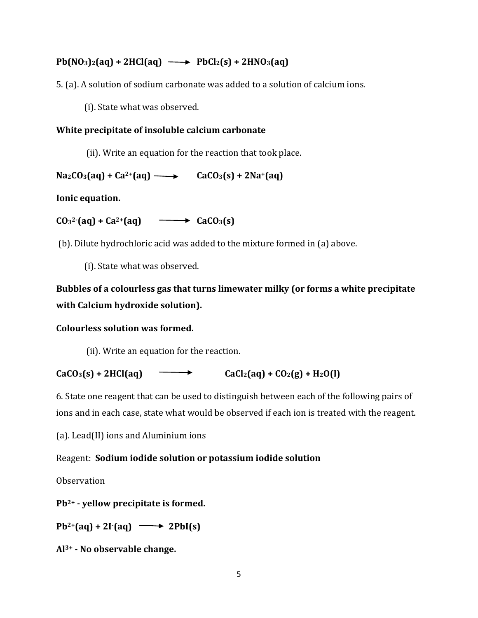# $Pb(NO_3)_{2}(aq) + 2HCl(aq) \longrightarrow PbCl_2(s) + 2HNO_3(aq)$

5. (a). A solution of sodium carbonate was added to a solution of calcium ions.

(i). State what was observed.

# **White precipitate of insoluble calcium carbonate**

(ii). Write an equation for the reaction that took place.

 $Na_2CO_3(aq) + Ca^{2+}(aq) \longrightarrow CaCO_3(s) + 2Na^{2}(aq)$ 

**Ionic equation.**

 $CO_3^2$  (aq) +  $Ca^{2+}(aq)$   $\longrightarrow$   $CaCO_3(s)$ 

(b). Dilute hydrochloric acid was added to the mixture formed in (a) above.

(i). State what was observed.

# **Bubbles of a colourless gas that turns limewater milky (or forms a white precipitate with Calcium hydroxide solution).**

# **Colourless solution was formed.**

(ii). Write an equation for the reaction.

 $CaCO_3(s) + 2HCl(aq)$   $\longrightarrow$   $CaCl_2(aq) + CO_2(g) + H_2O(l)$ 

6. State one reagent that can be used to distinguish between each of the following pairs of ions and in each case, state what would be observed if each ion is treated with the reagent.

(a). Lead(II) ions and Aluminium ions

# Reagent: **Sodium iodide solution or potassium iodide solution**

**Observation** 

**Pb2+ - yellow precipitate is formed.**

 $Pb^{2+}(aq) + 2I^{}(aq) \longrightarrow 2PbI(s)$ 

**Al3+ - No observable change.**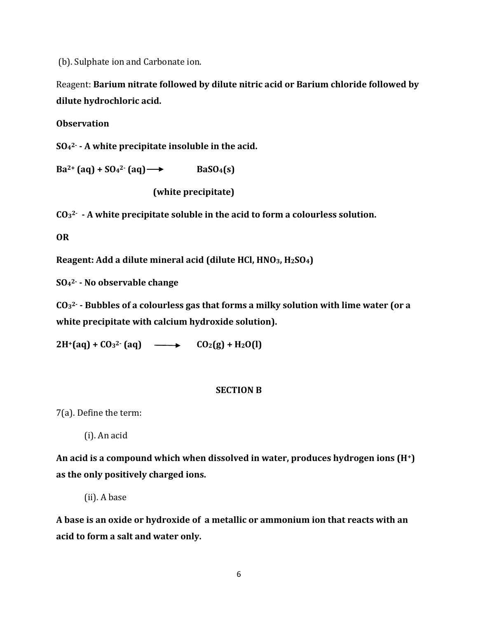(b). Sulphate ion and Carbonate ion.

Reagent: **Barium nitrate followed by dilute nitric acid or Barium chloride followed by dilute hydrochloric acid.** 

#### **Observation**

**SO<sup>4</sup> 2- - A white precipitate insoluble in the acid.**

 $Ba^{2+}$   $(aq) + SO_4^{2-}$   $(aq) \rightarrow$  **Bas** $O_4(s)$ 

 **(white precipitate)**

**CO<sup>3</sup> 2- - A white precipitate soluble in the acid to form a colourless solution.**

**OR**

**Reagent: Add a dilute mineral acid (dilute HCl, HNO3, H2SO4)**

**SO<sup>4</sup> 2- - No observable change**

**CO<sup>3</sup> 2- - Bubbles of a colourless gas that forms a milky solution with lime water (or a white precipitate with calcium hydroxide solution).**

 $2H^{+}(aq) + CO_{3}^{2}$  (aq)  $\longrightarrow$   $CO_{2}(g) + H_{2}O(l)$ 

#### **SECTION B**

7(a). Define the term:

(i). An acid

**An acid is a compound which when dissolved in water, produces hydrogen ions (H+) as the only positively charged ions.**

(ii). A base

**A base is an oxide or hydroxide of a metallic or ammonium ion that reacts with an acid to form a salt and water only.**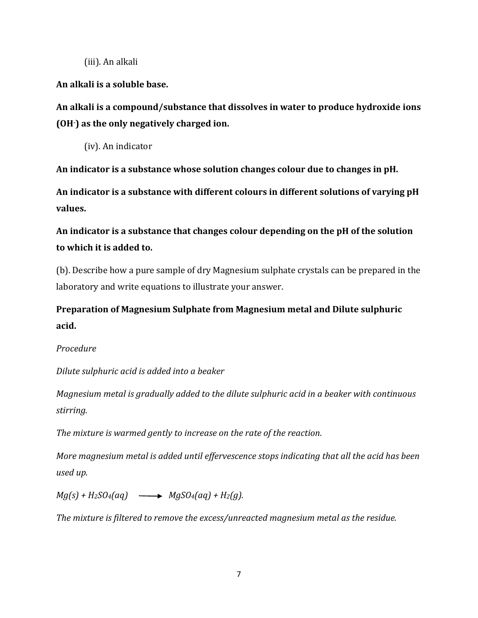(iii). An alkali

**An alkali is a soluble base.** 

**An alkali is a compound/substance that dissolves in water to produce hydroxide ions (OH-) as the only negatively charged ion.**

(iv). An indicator

**An indicator is a substance whose solution changes colour due to changes in pH.**

**An indicator is a substance with different colours in different solutions of varying pH values.**

**An indicator is a substance that changes colour depending on the pH of the solution to which it is added to.**

(b). Describe how a pure sample of dry Magnesium sulphate crystals can be prepared in the laboratory and write equations to illustrate your answer.

**Preparation of Magnesium Sulphate from Magnesium metal and Dilute sulphuric acid.**

# *Procedure*

*Dilute sulphuric acid is added into a beaker*

*Magnesium metal is gradually added to the dilute sulphuric acid in a beaker with continuous stirring.*

*The mixture is warmed gently to increase on the rate of the reaction.*

*More magnesium metal is added until effervescence stops indicating that all the acid has been used up.*

 $Mg(s) + H_2SO_4(aq) \longrightarrow MgSO_4(aq) + H_2(q).$ 

*The mixture is filtered to remove the excess/unreacted magnesium metal as the residue.*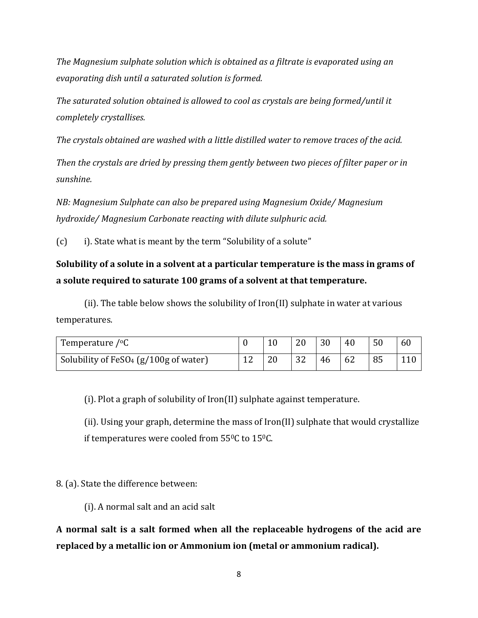*The Magnesium sulphate solution which is obtained as a filtrate is evaporated using an evaporating dish until a saturated solution is formed.*

*The saturated solution obtained is allowed to cool as crystals are being formed/until it completely crystallises.*

*The crystals obtained are washed with a little distilled water to remove traces of the acid.*

*Then the crystals are dried by pressing them gently between two pieces of filter paper or in sunshine.*

*NB: Magnesium Sulphate can also be prepared using Magnesium Oxide/ Magnesium hydroxide/ Magnesium Carbonate reacting with dilute sulphuric acid.* 

 $(c)$  i). State what is meant by the term "Solubility of a solute"

# **Solubility of a solute in a solvent at a particular temperature is the mass in grams of a solute required to saturate 100 grams of a solvent at that temperature.**

(ii). The table below shows the solubility of Iron(II) sulphate in water at various temperatures.

| Temperature $\sqrt{\ }$ °C                        |                |    |    | 30 | 40 | 50 | 60 |
|---------------------------------------------------|----------------|----|----|----|----|----|----|
| Solubility of FeSO <sub>4</sub> (g/100g of water) | $\overline{1}$ | 20 | 32 | 46 | 62 | 85 |    |

(i). Plot a graph of solubility of Iron(II) sulphate against temperature.

(ii). Using your graph, determine the mass of Iron(II) sulphate that would crystallize if temperatures were cooled from  $55^{\circ}$ C to  $15^{\circ}$ C.

8. (a). State the difference between:

(i). A normal salt and an acid salt

**A normal salt is a salt formed when all the replaceable hydrogens of the acid are replaced by a metallic ion or Ammonium ion (metal or ammonium radical).**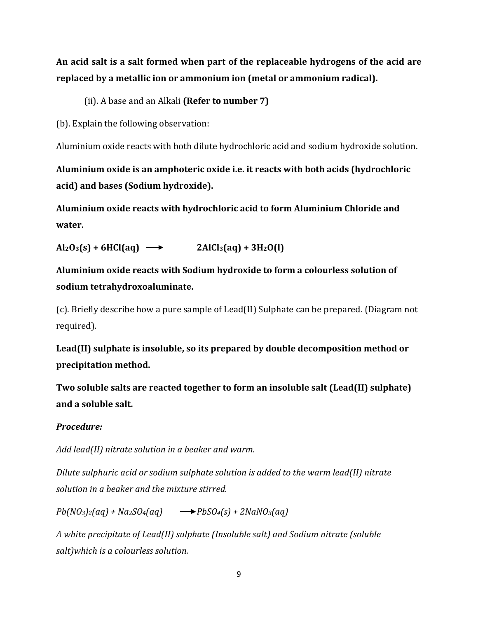**An acid salt is a salt formed when part of the replaceable hydrogens of the acid are replaced by a metallic ion or ammonium ion (metal or ammonium radical).**

(ii). A base and an Alkali **(Refer to number 7)**

(b). Explain the following observation:

Aluminium oxide reacts with both dilute hydrochloric acid and sodium hydroxide solution.

**Aluminium oxide is an amphoteric oxide i.e. it reacts with both acids (hydrochloric acid) and bases (Sodium hydroxide).**

**Aluminium oxide reacts with hydrochloric acid to form Aluminium Chloride and water.**

 $\text{Al}_2\text{O}_3(s) + 6\text{HCl}(aq) \longrightarrow 2\text{AlCl}_3(aq) + 3\text{H}_2\text{O}(l)$ 

**Aluminium oxide reacts with Sodium hydroxide to form a colourless solution of sodium tetrahydroxoaluminate.**

(c). Briefly describe how a pure sample of Lead(II) Sulphate can be prepared. (Diagram not required).

**Lead(II) sulphate is insoluble, so its prepared by double decomposition method or precipitation method.**

**Two soluble salts are reacted together to form an insoluble salt (Lead(II) sulphate) and a soluble salt.**

# *Procedure:*

*Add lead(II) nitrate solution in a beaker and warm.*

*Dilute sulphuric acid or sodium sulphate solution is added to the warm lead(II) nitrate solution in a beaker and the mixture stirred.*

 $Pb(NO_3)_{2}(aa) + Na_2SO_4(aq) \longrightarrow PbSO_4(s) + 2NaNO_3(aq)$ 

*A white precipitate of Lead(II) sulphate (Insoluble salt) and Sodium nitrate (soluble salt)which is a colourless solution.*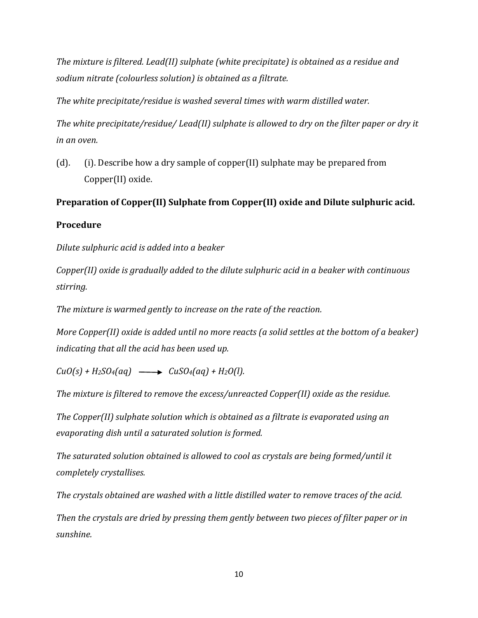*The mixture is filtered. Lead(II) sulphate (white precipitate) is obtained as a residue and sodium nitrate (colourless solution) is obtained as a filtrate.*

*The white precipitate/residue is washed several times with warm distilled water.*

*The white precipitate/residue/ Lead(II) sulphate is allowed to dry on the filter paper or dry it in an oven.*

(d). (i). Describe how a dry sample of copper(II) sulphate may be prepared from Copper(II) oxide.

# **Preparation of Copper(II) Sulphate from Copper(II) oxide and Dilute sulphuric acid.**

## **Procedure**

*Dilute sulphuric acid is added into a beaker*

*Copper(II) oxide is gradually added to the dilute sulphuric acid in a beaker with continuous stirring.*

*The mixture is warmed gently to increase on the rate of the reaction.*

*More Copper(II) oxide is added until no more reacts (a solid settles at the bottom of a beaker) indicating that all the acid has been used up.*

 $CuO(s) + H_2SO_4(aq) \longrightarrow CuSO_4(aq) + H_2O(l).$ 

*The mixture is filtered to remove the excess/unreacted Copper(II) oxide as the residue.*

*The Copper(II) sulphate solution which is obtained as a filtrate is evaporated using an evaporating dish until a saturated solution is formed.*

*The saturated solution obtained is allowed to cool as crystals are being formed/until it completely crystallises.*

*The crystals obtained are washed with a little distilled water to remove traces of the acid.*

*Then the crystals are dried by pressing them gently between two pieces of filter paper or in sunshine.*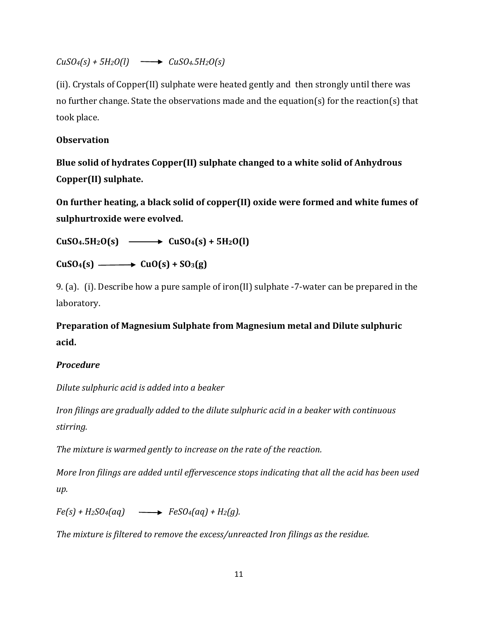*CuSO4(s) + 5H2O(l) CuSO4.5H2O(s)*

(ii). Crystals of Copper(II) sulphate were heated gently and then strongly until there was no further change. State the observations made and the equation(s) for the reaction(s) that took place.

# **Observation**

**Blue solid of hydrates Copper(II) sulphate changed to a white solid of Anhydrous Copper(II) sulphate.**

**On further heating, a black solid of copper(II) oxide were formed and white fumes of sulphurtroxide were evolved.**

 $\text{CuSO}_4$ **.5H**<sub>2</sub>**O(s)**  $\longrightarrow$  **CuSO**<sub>4</sub>(s) + 5H<sub>2</sub>O(l)

 $CuSO_4(s) \longrightarrow CuO(s) + SO_3(g)$ 

9. (a). (i). Describe how a pure sample of iron(II) sulphate -7-water can be prepared in the laboratory.

**Preparation of Magnesium Sulphate from Magnesium metal and Dilute sulphuric acid.**

# *Procedure*

*Dilute sulphuric acid is added into a beaker*

*Iron filings are gradually added to the dilute sulphuric acid in a beaker with continuous stirring.*

*The mixture is warmed gently to increase on the rate of the reaction.*

*More Iron filings are added until effervescence stops indicating that all the acid has been used up.*

 $Fe(s) + H_2SO_4(aq) \longrightarrow FeSO_4(aq) + H_2(q).$ 

*The mixture is filtered to remove the excess/unreacted Iron filings as the residue.*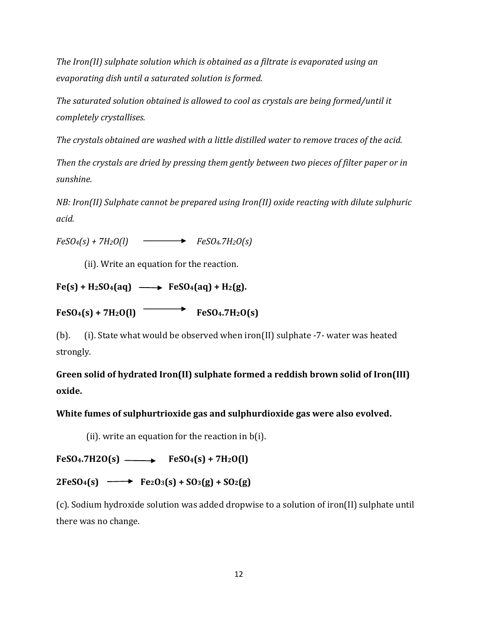*The Iron(II) sulphate solution which is obtained as a filtrate is evaporated using an evaporating dish until a saturated solution is formed.*

*The saturated solution obtained is allowed to cool as crystals are being formed/until it completely crystallises.*

*The crystals obtained are washed with a little distilled water to remove traces of the acid.*

*Then the crystals are dried by pressing them gently between two pieces of filter paper or in sunshine.*

*NB: Iron(II) Sulphate cannot be prepared using Iron(II) oxide reacting with dilute sulphuric acid.* 

 $FeSO_4(s) + 7H_2O(l)$   $\longrightarrow$   $FeSO_4.7H_2O(s)$ 

(ii). Write an equation for the reaction.

 $Fe(s) + H_2SO_4(aq) \longrightarrow FeSO_4(aq) + H_2(g).$ 

 $FeSO_4(s) + 7H_2O(l)$  **FeSO**<sup>4</sup>.7H<sub>2</sub>O(s)

(b). (i). State what would be observed when iron(II) sulphate -7- water was heated strongly.

**Green solid of hydrated Iron(II) sulphate formed a reddish brown solid of Iron(III) oxide.**

**White fumes of sulphurtrioxide gas and sulphurdioxide gas were also evolved.**

(ii). write an equation for the reaction in  $b(i)$ .

 $FeSO_4$ **.7H2O(s)**  $\longrightarrow$   $FeSO_4(s) + 7H_2O(l)$ 

 $2FeSO_4(s) \longrightarrow Fe_2O_3(s) + SO_3(g) + SO_2(g)$ 

(c). Sodium hydroxide solution was added dropwise to a solution of iron(II) sulphate until there was no change.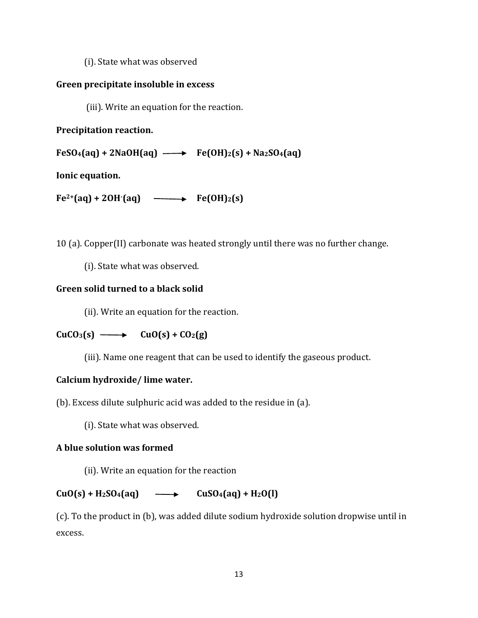(i). State what was observed

## **Green precipitate insoluble in excess**

(iii). Write an equation for the reaction.

# **Precipitation reaction.**

 $FeSO_4(aq) + 2NaOH(aq) \longrightarrow Fe(OH)_2(s) + Na_2SO_4(aq)$ 

**Ionic equation.**

 $Fe^{2+}(aq) + 2OH^{-}(aq) \longrightarrow Fe(OH)_{2}(s)$ 

10 (a). Copper(II) carbonate was heated strongly until there was no further change.

(i). State what was observed.

# **Green solid turned to a black solid**

(ii). Write an equation for the reaction.

# $CuCO<sub>3</sub>(s) \longrightarrow CuO(s) + CO<sub>2</sub>(g)$

(iii). Name one reagent that can be used to identify the gaseous product.

# **Calcium hydroxide/ lime water.**

(b). Excess dilute sulphuric acid was added to the residue in (a).

(i). State what was observed.

# **A blue solution was formed**

(ii). Write an equation for the reaction

# $CuO(s) + H_2SO_4(aq) \longrightarrow CuSO_4(aq) + H_2O(l)$

(c). To the product in (b), was added dilute sodium hydroxide solution dropwise until in excess.